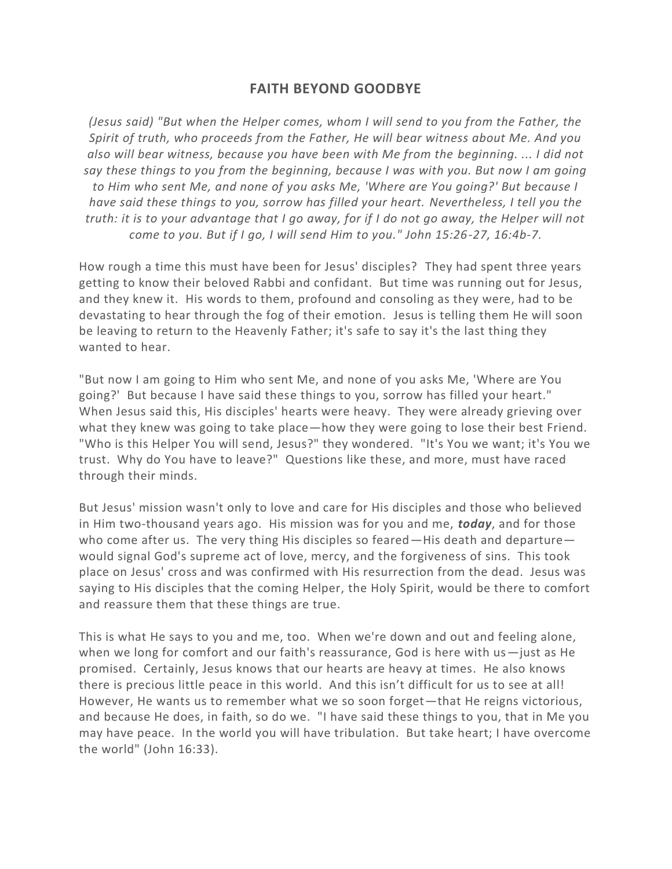## **FAITH BEYOND GOODBYE**

*(Jesus said) "But when the Helper comes, whom I will send to you from the Father, the Spirit of truth, who proceeds from the Father, He will bear witness about Me. And you also will bear witness, because you have been with Me from the beginning. ... I did not say these things to you from the beginning, because I was with you. But now I am going to Him who sent Me, and none of you asks Me, 'Where are You going?' But because I have said these things to you, sorrow has filled your heart. Nevertheless, I tell you the truth: it is to your advantage that I go away, for if I do not go away, the Helper will not come to you. But if I go, I will send Him to you." John 15:26-27, 16:4b-7.*

How rough a time this must have been for Jesus' disciples? They had spent three years getting to know their beloved Rabbi and confidant. But time was running out for Jesus, and they knew it. His words to them, profound and consoling as they were, had to be devastating to hear through the fog of their emotion. Jesus is telling them He will soon be leaving to return to the Heavenly Father; it's safe to say it's the last thing they wanted to hear.

"But now I am going to Him who sent Me, and none of you asks Me, 'Where are You going?' But because I have said these things to you, sorrow has filled your heart." When Jesus said this, His disciples' hearts were heavy. They were already grieving over what they knew was going to take place—how they were going to lose their best Friend. "Who is this Helper You will send, Jesus?" they wondered. "It's You we want; it's You we trust. Why do You have to leave?" Questions like these, and more, must have raced through their minds.

But Jesus' mission wasn't only to love and care for His disciples and those who believed in Him two-thousand years ago. His mission was for you and me, *today*, and for those who come after us. The very thing His disciples so feared—His death and departure would signal God's supreme act of love, mercy, and the forgiveness of sins. This took place on Jesus' cross and was confirmed with His resurrection from the dead. Jesus was saying to His disciples that the coming Helper, the Holy Spirit, would be there to comfort and reassure them that these things are true.

This is what He says to you and me, too. When we're down and out and feeling alone, when we long for comfort and our faith's reassurance, God is here with us $-$ just as He promised. Certainly, Jesus knows that our hearts are heavy at times. He also knows there is precious little peace in this world. And this isn't difficult for us to see at all! However, He wants us to remember what we so soon forget—that He reigns victorious, and because He does, in faith, so do we. "I have said these things to you, that in Me you may have peace. In the world you will have tribulation. But take heart; I have overcome the world" (John 16:33).